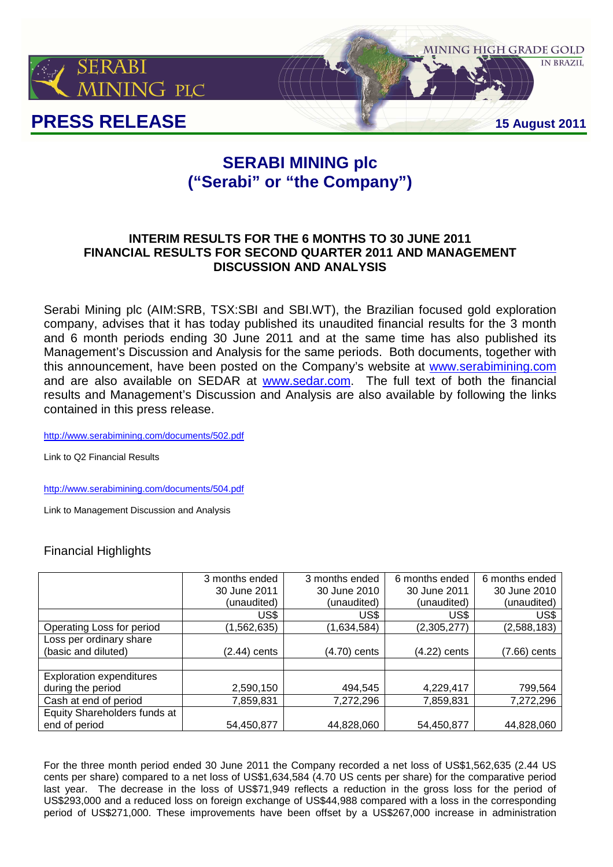

# **SERABI MINING plc ("Serabi" or "the Company")**

# **INTERIM RESULTS FOR THE 6 MONTHS TO 30 JUNE 2011 FINANCIAL RESULTS FOR SECOND QUARTER 2011 AND MANAGEMENT DISCUSSION AND ANALYSIS**

Serabi Mining plc (AIM:SRB, TSX:SBI and SBI.WT), the Brazilian focused gold exploration company, advises that it has today published its unaudited financial results for the 3 month and 6 month periods ending 30 June 2011 and at the same time has also published its Management's Discussion and Analysis for the same periods. Both documents, together with this announcement, have been posted on the Company's website at www.serabimining.com and are also available on SEDAR at www.sedar.com. The full text of both the financial results and Management's Discussion and Analysis are also available by following the links contained in this press release.

http://www.serabimining.com/documents/502.pdf

Link to Q2 Financial Results

http://www.serabimining.com/documents/504.pdf

Link to Management Discussion and Analysis

# Financial Highlights

|                                 | 3 months ended | 3 months ended | 6 months ended | 6 months ended |
|---------------------------------|----------------|----------------|----------------|----------------|
|                                 | 30 June 2011   | 30 June 2010   | 30 June 2011   | 30 June 2010   |
|                                 | (unaudited)    | (unaudited)    | (unaudited)    | (unaudited)    |
|                                 | US\$           | US\$           | US\$           | US\$           |
| Operating Loss for period       | (1,562,635)    | (1,634,584)    | (2,305,277)    | (2,588,183)    |
| Loss per ordinary share         |                |                |                |                |
| (basic and diluted)             | (2.44) cents   | (4.70) cents   | (4.22) cents   | (7.66) cents   |
|                                 |                |                |                |                |
| <b>Exploration expenditures</b> |                |                |                |                |
| during the period               | 2,590,150      | 494,545        | 4,229,417      | 799,564        |
| Cash at end of period           | 7,859,831      | 7,272,296      | 7,859,831      | 7,272,296      |
| Equity Shareholders funds at    |                |                |                |                |
| end of period                   | 54,450,877     | 44,828,060     | 54,450,877     | 44,828,060     |

For the three month period ended 30 June 2011 the Company recorded a net loss of US\$1,562,635 (2.44 US cents per share) compared to a net loss of US\$1,634,584 (4.70 US cents per share) for the comparative period last year. The decrease in the loss of US\$71,949 reflects a reduction in the gross loss for the period of US\$293,000 and a reduced loss on foreign exchange of US\$44,988 compared with a loss in the corresponding period of US\$271,000. These improvements have been offset by a US\$267,000 increase in administration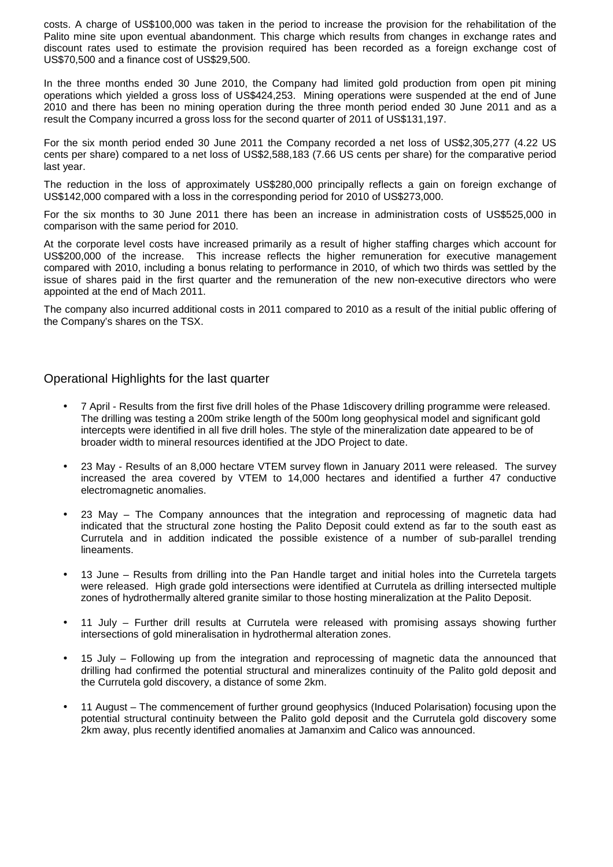costs. A charge of US\$100,000 was taken in the period to increase the provision for the rehabilitation of the Palito mine site upon eventual abandonment. This charge which results from changes in exchange rates and discount rates used to estimate the provision required has been recorded as a foreign exchange cost of US\$70,500 and a finance cost of US\$29,500.

In the three months ended 30 June 2010, the Company had limited gold production from open pit mining operations which yielded a gross loss of US\$424,253. Mining operations were suspended at the end of June 2010 and there has been no mining operation during the three month period ended 30 June 2011 and as a result the Company incurred a gross loss for the second quarter of 2011 of US\$131,197.

For the six month period ended 30 June 2011 the Company recorded a net loss of US\$2,305,277 (4.22 US cents per share) compared to a net loss of US\$2,588,183 (7.66 US cents per share) for the comparative period last year.

The reduction in the loss of approximately US\$280,000 principally reflects a gain on foreign exchange of US\$142,000 compared with a loss in the corresponding period for 2010 of US\$273,000.

For the six months to 30 June 2011 there has been an increase in administration costs of US\$525,000 in comparison with the same period for 2010.

At the corporate level costs have increased primarily as a result of higher staffing charges which account for US\$200,000 of the increase. This increase reflects the higher remuneration for executive management compared with 2010, including a bonus relating to performance in 2010, of which two thirds was settled by the issue of shares paid in the first quarter and the remuneration of the new non-executive directors who were appointed at the end of Mach 2011.

The company also incurred additional costs in 2011 compared to 2010 as a result of the initial public offering of the Company's shares on the TSX.

# Operational Highlights for the last quarter

- 7 April Results from the first five drill holes of the Phase 1discovery drilling programme were released. The drilling was testing a 200m strike length of the 500m long geophysical model and significant gold intercepts were identified in all five drill holes. The style of the mineralization date appeared to be of broader width to mineral resources identified at the JDO Project to date.
- 23 May Results of an 8,000 hectare VTEM survey flown in January 2011 were released. The survey increased the area covered by VTEM to 14,000 hectares and identified a further 47 conductive electromagnetic anomalies.
- 23 May The Company announces that the integration and reprocessing of magnetic data had indicated that the structural zone hosting the Palito Deposit could extend as far to the south east as Currutela and in addition indicated the possible existence of a number of sub-parallel trending lineaments.
- 13 June Results from drilling into the Pan Handle target and initial holes into the Curretela targets were released. High grade gold intersections were identified at Currutela as drilling intersected multiple zones of hydrothermally altered granite similar to those hosting mineralization at the Palito Deposit.
- 11 July Further drill results at Currutela were released with promising assays showing further intersections of gold mineralisation in hydrothermal alteration zones.
- 15 July Following up from the integration and reprocessing of magnetic data the announced that drilling had confirmed the potential structural and mineralizes continuity of the Palito gold deposit and the Currutela gold discovery, a distance of some 2km.
- 11 August The commencement of further ground geophysics (Induced Polarisation) focusing upon the potential structural continuity between the Palito gold deposit and the Currutela gold discovery some 2km away, plus recently identified anomalies at Jamanxim and Calico was announced.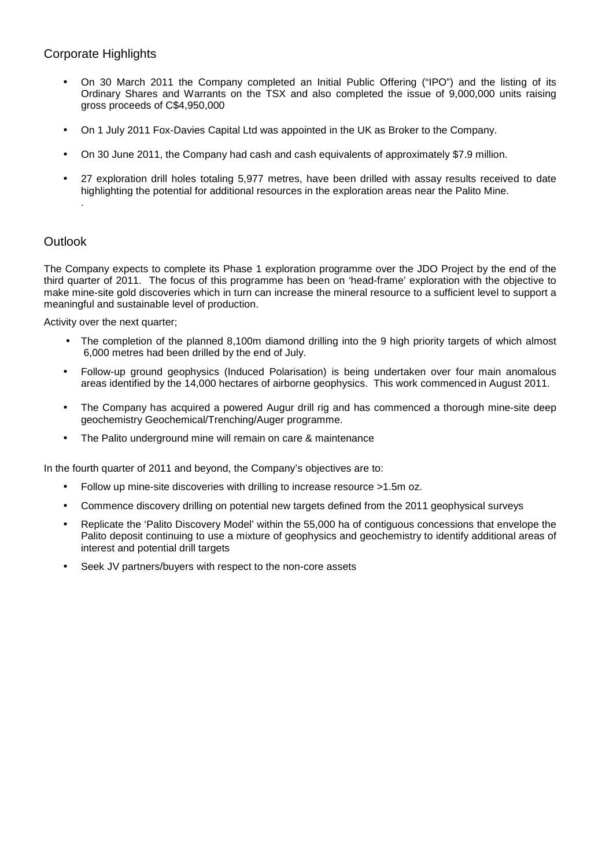# Corporate Highlights

- On 30 March 2011 the Company completed an Initial Public Offering ("IPO") and the listing of its Ordinary Shares and Warrants on the TSX and also completed the issue of 9,000,000 units raising gross proceeds of C\$4,950,000
- On 1 July 2011 Fox-Davies Capital Ltd was appointed in the UK as Broker to the Company.
- On 30 June 2011, the Company had cash and cash equivalents of approximately \$7.9 million.
- 27 exploration drill holes totaling 5,977 metres, have been drilled with assay results received to date highlighting the potential for additional resources in the exploration areas near the Palito Mine. .

# **Outlook**

The Company expects to complete its Phase 1 exploration programme over the JDO Project by the end of the third quarter of 2011. The focus of this programme has been on 'head-frame' exploration with the objective to make mine-site gold discoveries which in turn can increase the mineral resource to a sufficient level to support a meaningful and sustainable level of production.

Activity over the next quarter;

- The completion of the planned 8,100m diamond drilling into the 9 high priority targets of which almost 6,000 metres had been drilled by the end of July.
- Follow-up ground geophysics (Induced Polarisation) is being undertaken over four main anomalous areas identified by the 14,000 hectares of airborne geophysics. This work commenced in August 2011.
- The Company has acquired a powered Augur drill rig and has commenced a thorough mine-site deep geochemistry Geochemical/Trenching/Auger programme.
- The Palito underground mine will remain on care & maintenance

In the fourth quarter of 2011 and beyond, the Company's objectives are to:

- Follow up mine-site discoveries with drilling to increase resource >1.5m oz.
- Commence discovery drilling on potential new targets defined from the 2011 geophysical surveys
- Replicate the 'Palito Discovery Model' within the 55,000 ha of contiguous concessions that envelope the Palito deposit continuing to use a mixture of geophysics and geochemistry to identify additional areas of interest and potential drill targets
- Seek JV partners/buyers with respect to the non-core assets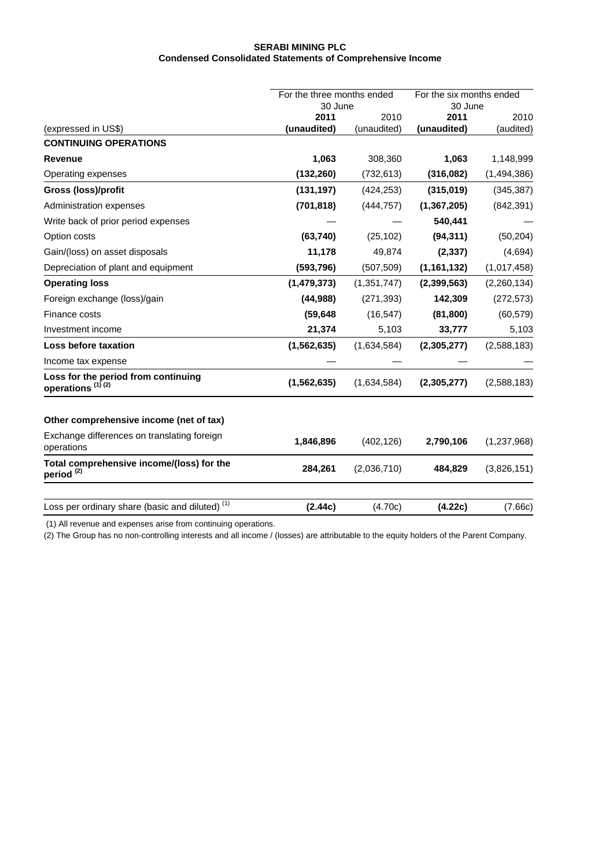#### **SERABI MINING PLC Condensed Consolidated Statements of Comprehensive Income**

|                                                                     | For the three months ended |                     | For the six months ended |                   |  |
|---------------------------------------------------------------------|----------------------------|---------------------|--------------------------|-------------------|--|
|                                                                     |                            | 30 June             |                          | 30 June           |  |
| (expressed in US\$)                                                 | 2011<br>(unaudited)        | 2010<br>(unaudited) | 2011<br>(unaudited)      | 2010<br>(audited) |  |
| <b>CONTINUING OPERATIONS</b>                                        |                            |                     |                          |                   |  |
| Revenue                                                             | 1,063                      | 308,360             | 1,063                    | 1,148,999         |  |
| Operating expenses                                                  | (132, 260)                 | (732, 613)          | (316,082)                | (1,494,386)       |  |
| Gross (loss)/profit                                                 | (131, 197)                 | (424, 253)          | (315,019)                | (345, 387)        |  |
| Administration expenses                                             | (701, 818)                 | (444, 757)          | (1, 367, 205)            | (842, 391)        |  |
| Write back of prior period expenses                                 |                            |                     | 540,441                  |                   |  |
| Option costs                                                        | (63, 740)                  | (25, 102)           | (94, 311)                | (50, 204)         |  |
| Gain/(loss) on asset disposals                                      | 11,178                     | 49,874              | (2, 337)                 | (4,694)           |  |
| Depreciation of plant and equipment                                 | (593, 796)                 | (507, 509)          | (1, 161, 132)            | (1,017,458)       |  |
| <b>Operating loss</b>                                               | (1,479,373)                | (1,351,747)         | (2,399,563)              | (2,260,134)       |  |
| Foreign exchange (loss)/gain                                        | (44, 988)                  | (271, 393)          | 142,309                  | (272, 573)        |  |
| Finance costs                                                       | (59, 648)                  | (16, 547)           | (81, 800)                | (60, 579)         |  |
| Investment income                                                   | 21,374                     | 5,103               | 33,777                   | 5,103             |  |
| <b>Loss before taxation</b>                                         | (1, 562, 635)              | (1,634,584)         | (2, 305, 277)            | (2,588,183)       |  |
| Income tax expense                                                  |                            |                     |                          |                   |  |
| Loss for the period from continuing<br>operations <sup>(1)(2)</sup> | (1, 562, 635)              | (1,634,584)         | (2,305,277)              | (2,588,183)       |  |
| Other comprehensive income (net of tax)                             |                            |                     |                          |                   |  |
| Exchange differences on translating foreign<br>operations           | 1,846,896                  | (402, 126)          | 2,790,106                | (1,237,968)       |  |
| Total comprehensive income/(loss) for the<br>period <sup>(2)</sup>  | 284,261                    | (2,036,710)         | 484,829                  | (3,826,151)       |  |
|                                                                     |                            |                     |                          |                   |  |
| Loss per ordinary share (basic and diluted) <sup>(1)</sup>          | (2.44c)                    | (4.70c)             | (4.22c)                  | (7.66c)           |  |

(1) All revenue and expenses arise from continuing operations.

(2) The Group has no non-controlling interests and all income / (losses) are attributable to the equity holders of the Parent Company.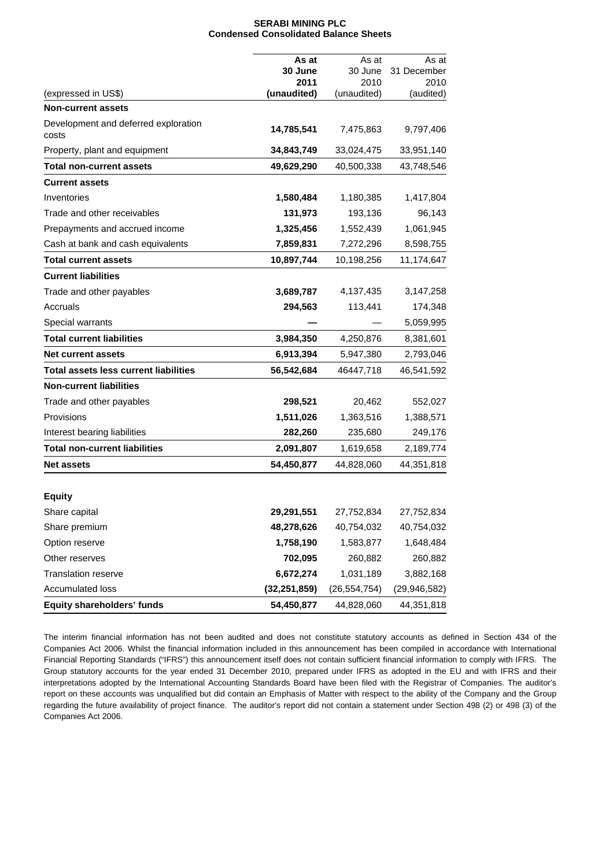#### **SERABI MINING PLC Condensed Consolidated Balance Sheets**

|                                               | As at          | As at          | As at          |
|-----------------------------------------------|----------------|----------------|----------------|
|                                               | 30 June        | 30 June        | 31 December    |
|                                               | 2011           | 2010           | 2010           |
| (expressed in US\$)                           | (unaudited)    | (unaudited)    | (audited)      |
| <b>Non-current assets</b>                     |                |                |                |
| Development and deferred exploration<br>costs | 14,785,541     | 7,475,863      | 9,797,406      |
| Property, plant and equipment                 | 34,843,749     | 33,024,475     | 33,951,140     |
| Total non-current assets                      | 49,629,290     | 40,500,338     | 43,748,546     |
| <b>Current assets</b>                         |                |                |                |
| Inventories                                   | 1,580,484      | 1,180,385      | 1,417,804      |
| Trade and other receivables                   | 131,973        | 193,136        | 96,143         |
| Prepayments and accrued income                | 1,325,456      | 1,552,439      | 1,061,945      |
| Cash at bank and cash equivalents             | 7,859,831      | 7,272,296      | 8,598,755      |
| <b>Total current assets</b>                   | 10,897,744     | 10,198,256     | 11,174,647     |
| <b>Current liabilities</b>                    |                |                |                |
| Trade and other payables                      | 3,689,787      | 4,137,435      | 3,147,258      |
| Accruals                                      | 294,563        | 113,441        | 174,348        |
| Special warrants                              |                |                | 5,059,995      |
| <b>Total current liabilities</b>              | 3,984,350      | 4,250,876      | 8,381,601      |
| <b>Net current assets</b>                     | 6,913,394      | 5,947,380      | 2,793,046      |
| <b>Total assets less current liabilities</b>  | 56,542,684     | 46447,718      | 46,541,592     |
| <b>Non-current liabilities</b>                |                |                |                |
| Trade and other payables                      | 298,521        | 20,462         | 552,027        |
| Provisions                                    | 1,511,026      | 1,363,516      | 1,388,571      |
| Interest bearing liabilities                  | 282,260        | 235,680        | 249,176        |
| <b>Total non-current liabilities</b>          | 2,091,807      | 1,619,658      | 2,189,774      |
| <b>Net assets</b>                             | 54,450,877     | 44,828,060     | 44,351,818     |
|                                               |                |                |                |
| <b>Equity</b>                                 |                |                |                |
| Share capital                                 | 29,291,551     | 27,752,834     | 27,752,834     |
| Share premium                                 | 48,278,626     | 40,754,032     | 40,754,032     |
| Option reserve                                | 1,758,190      | 1,583,877      | 1,648,484      |
| Other reserves                                | 702,095        | 260,882        | 260,882        |
| <b>Translation reserve</b>                    | 6,672,274      | 1,031,189      | 3,882,168      |
| Accumulated loss                              | (32, 251, 859) | (26, 554, 754) | (29, 946, 582) |
| Equity shareholders' funds                    | 54,450,877     | 44,828,060     | 44,351,818     |

The interim financial information has not been audited and does not constitute statutory accounts as defined in Section 434 of the Companies Act 2006. Whilst the financial information included in this announcement has been compiled in accordance with International Financial Reporting Standards ("IFRS") this announcement itself does not contain sufficient financial information to comply with IFRS. The Group statutory accounts for the year ended 31 December 2010, prepared under IFRS as adopted in the EU and with IFRS and their interpretations adopted by the International Accounting Standards Board have been filed with the Registrar of Companies. The auditor's report on these accounts was unqualified but did contain an Emphasis of Matter with respect to the ability of the Company and the Group regarding the future availability of project finance. The auditor's report did not contain a statement under Section 498 (2) or 498 (3) of the Companies Act 2006.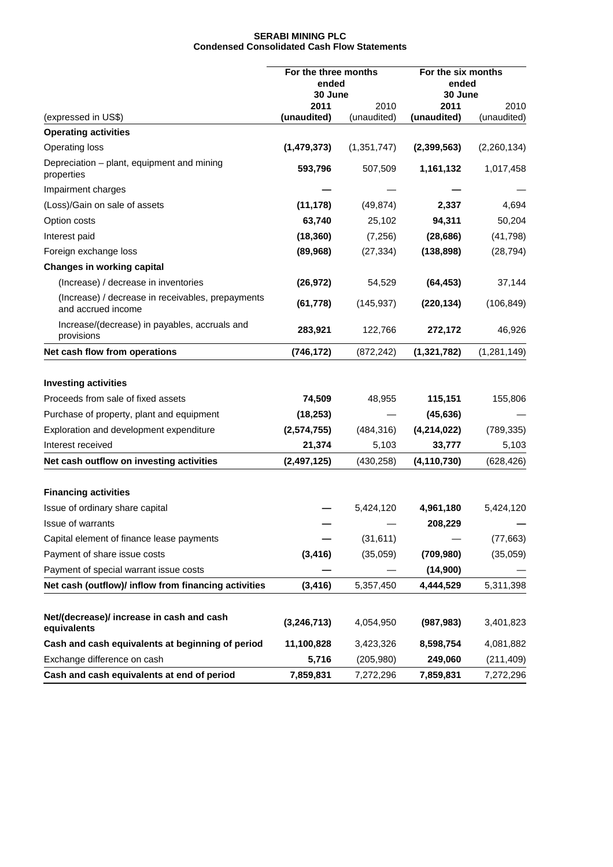### **SERABI MINING PLC Condensed Consolidated Cash Flow Statements**

|                                                                         | For the three months<br>ended<br>30 June |                     | For the six months<br>ended<br>30 June |                     |
|-------------------------------------------------------------------------|------------------------------------------|---------------------|----------------------------------------|---------------------|
| (expressed in US\$)                                                     | 2011<br>(unaudited)                      | 2010<br>(unaudited) | 2011<br>(unaudited)                    | 2010<br>(unaudited) |
| <b>Operating activities</b>                                             |                                          |                     |                                        |                     |
| <b>Operating loss</b>                                                   | (1,479,373)                              | (1, 351, 747)       | (2,399,563)                            | (2,260,134)         |
| Depreciation - plant, equipment and mining<br>properties                | 593,796                                  | 507,509             | 1,161,132                              | 1,017,458           |
| Impairment charges                                                      |                                          |                     |                                        |                     |
| (Loss)/Gain on sale of assets                                           | (11, 178)                                | (49, 874)           | 2,337                                  | 4,694               |
| Option costs                                                            | 63,740                                   | 25,102              | 94,311                                 | 50,204              |
| Interest paid                                                           | (18, 360)                                | (7,256)             | (28, 686)                              | (41, 798)           |
| Foreign exchange loss                                                   | (89, 968)                                | (27, 334)           | (138, 898)                             | (28, 794)           |
| <b>Changes in working capital</b>                                       |                                          |                     |                                        |                     |
| (Increase) / decrease in inventories                                    | (26, 972)                                | 54,529              | (64, 453)                              | 37,144              |
| (Increase) / decrease in receivables, prepayments<br>and accrued income | (61, 778)                                | (145, 937)          | (220, 134)                             | (106, 849)          |
| Increase/(decrease) in payables, accruals and<br>provisions             | 283,921                                  | 122,766             | 272,172                                | 46,926              |
| Net cash flow from operations                                           | (746, 172)                               | (872, 242)          | (1,321,782)                            | (1, 281, 149)       |
| <b>Investing activities</b>                                             |                                          |                     |                                        |                     |
| Proceeds from sale of fixed assets                                      | 74,509                                   | 48,955              | 115,151                                | 155,806             |
| Purchase of property, plant and equipment                               | (18, 253)                                |                     | (45, 636)                              |                     |
| Exploration and development expenditure                                 | (2, 574, 755)                            | (484, 316)          | (4,214,022)                            | (789, 335)          |
| Interest received                                                       | 21,374                                   | 5,103               | 33,777                                 | 5,103               |
| Net cash outflow on investing activities                                | (2, 497, 125)                            | (430, 258)          | (4, 110, 730)                          | (628, 426)          |
| <b>Financing activities</b>                                             |                                          |                     |                                        |                     |
| Issue of ordinary share capital                                         |                                          | 5,424,120           | 4,961,180                              | 5,424,120           |
| <b>Issue of warrants</b>                                                |                                          |                     | 208,229                                |                     |
| Capital element of finance lease payments                               |                                          | (31, 611)           |                                        | (77, 663)           |
| Payment of share issue costs                                            | (3, 416)                                 | (35,059)            | (709, 980)                             | (35,059)            |
| Payment of special warrant issue costs                                  |                                          |                     | (14,900)                               |                     |
| Net cash (outflow)/ inflow from financing activities                    | (3, 416)                                 | 5,357,450           | 4,444,529                              | 5,311,398           |
| Net/(decrease)/ increase in cash and cash                               | (3, 246, 713)                            | 4,054,950           | (987, 983)                             | 3,401,823           |
| equivalents<br>Cash and cash equivalents at beginning of period         | 11,100,828                               | 3,423,326           | 8,598,754                              | 4,081,882           |
| Exchange difference on cash                                             | 5,716                                    | (205, 980)          | 249,060                                | (211, 409)          |
| Cash and cash equivalents at end of period                              | 7,859,831                                | 7,272,296           | 7,859,831                              | 7,272,296           |
|                                                                         |                                          |                     |                                        |                     |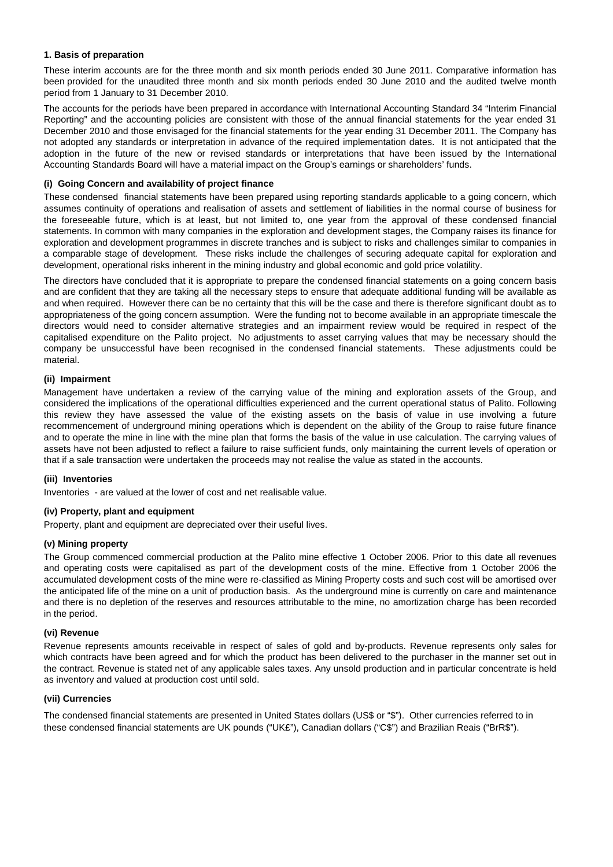### **1. Basis of preparation**

These interim accounts are for the three month and six month periods ended 30 June 2011. Comparative information has been provided for the unaudited three month and six month periods ended 30 June 2010 and the audited twelve month period from 1 January to 31 December 2010.

The accounts for the periods have been prepared in accordance with International Accounting Standard 34 "Interim Financial Reporting" and the accounting policies are consistent with those of the annual financial statements for the year ended 31 December 2010 and those envisaged for the financial statements for the year ending 31 December 2011. The Company has not adopted any standards or interpretation in advance of the required implementation dates. It is not anticipated that the adoption in the future of the new or revised standards or interpretations that have been issued by the International Accounting Standards Board will have a material impact on the Group's earnings or shareholders' funds.

### **(i) Going Concern and availability of project finance**

These condensed financial statements have been prepared using reporting standards applicable to a going concern, which assumes continuity of operations and realisation of assets and settlement of liabilities in the normal course of business for the foreseeable future, which is at least, but not limited to, one year from the approval of these condensed financial statements. In common with many companies in the exploration and development stages, the Company raises its finance for exploration and development programmes in discrete tranches and is subject to risks and challenges similar to companies in a comparable stage of development. These risks include the challenges of securing adequate capital for exploration and development, operational risks inherent in the mining industry and global economic and gold price volatility.

The directors have concluded that it is appropriate to prepare the condensed financial statements on a going concern basis and are confident that they are taking all the necessary steps to ensure that adequate additional funding will be available as and when required. However there can be no certainty that this will be the case and there is therefore significant doubt as to appropriateness of the going concern assumption. Were the funding not to become available in an appropriate timescale the directors would need to consider alternative strategies and an impairment review would be required in respect of the capitalised expenditure on the Palito project. No adjustments to asset carrying values that may be necessary should the company be unsuccessful have been recognised in the condensed financial statements. These adjustments could be material.

#### **(ii) Impairment**

Management have undertaken a review of the carrying value of the mining and exploration assets of the Group, and considered the implications of the operational difficulties experienced and the current operational status of Palito. Following this review they have assessed the value of the existing assets on the basis of value in use involving a future recommencement of underground mining operations which is dependent on the ability of the Group to raise future finance and to operate the mine in line with the mine plan that forms the basis of the value in use calculation. The carrying values of assets have not been adjusted to reflect a failure to raise sufficient funds, only maintaining the current levels of operation or that if a sale transaction were undertaken the proceeds may not realise the value as stated in the accounts.

### **(iii) Inventories**

Inventories - are valued at the lower of cost and net realisable value.

## **(iv) Property, plant and equipment**

Property, plant and equipment are depreciated over their useful lives.

#### **(v) Mining property**

The Group commenced commercial production at the Palito mine effective 1 October 2006. Prior to this date all revenues and operating costs were capitalised as part of the development costs of the mine. Effective from 1 October 2006 the accumulated development costs of the mine were re-classified as Mining Property costs and such cost will be amortised over the anticipated life of the mine on a unit of production basis. As the underground mine is currently on care and maintenance and there is no depletion of the reserves and resources attributable to the mine, no amortization charge has been recorded in the period.

#### **(vi) Revenue**

Revenue represents amounts receivable in respect of sales of gold and by-products. Revenue represents only sales for which contracts have been agreed and for which the product has been delivered to the purchaser in the manner set out in the contract. Revenue is stated net of any applicable sales taxes. Any unsold production and in particular concentrate is held as inventory and valued at production cost until sold.

#### **(vii) Currencies**

The condensed financial statements are presented in United States dollars (US\$ or "\$"). Other currencies referred to in these condensed financial statements are UK pounds ("UK£"), Canadian dollars ("C\$") and Brazilian Reais ("BrR\$").